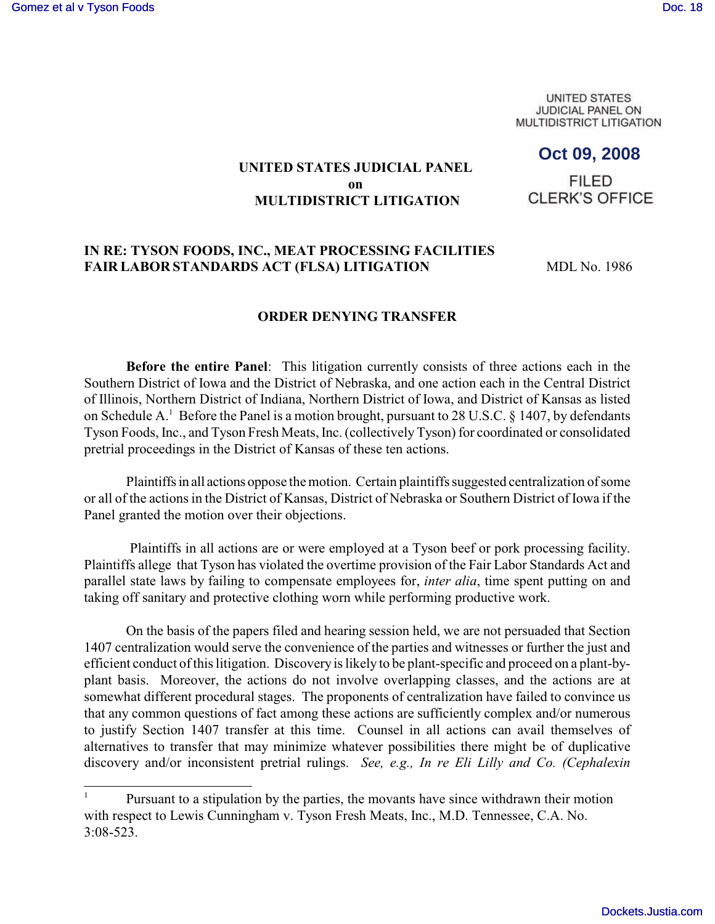**UNITED STATES JUDICIAL PANEL ON** MULTIDISTRICT LITIGATION

# **Oct 09, 2008**

## **UNITED STATES JUDICIAL PANEL on MULTIDISTRICT LITIGATION**

**FILED CLERK'S OFFICE** 

## **IN RE: TYSON FOODS, INC., MEAT PROCESSING FACILITIES**  FAIR LABOR STANDARDS ACT (FLSA) LITIGATION MDL No. 1986

#### **ORDER DENYING TRANSFER**

**Before the entire Panel**: This litigation currently consists of three actions each in the Southern District of Iowa and the District of Nebraska, and one action each in the Central District of Illinois, Northern District of Indiana, Northern District of Iowa, and District of Kansas as listed on Schedule A.<sup>1</sup> Before the Panel is a motion brought, pursuant to 28 U.S.C. § 1407, by defendants Tyson Foods, Inc., and Tyson Fresh Meats, Inc. (collectively Tyson) for coordinated or consolidated pretrial proceedings in the District of Kansas of these ten actions.

Plaintiffs in all actions oppose the motion. Certain plaintiffs suggested centralization of some or all of the actions in the District of Kansas, District of Nebraska or Southern District of Iowa if the Panel granted the motion over their objections.

 Plaintiffs in all actions are or were employed at a Tyson beef or pork processing facility. Plaintiffs allege that Tyson has violated the overtime provision of the Fair Labor Standards Act and parallel state laws by failing to compensate employees for, *inter alia*, time spent putting on and taking off sanitary and protective clothing worn while performing productive work.

On the basis of the papers filed and hearing session held, we are not persuaded that Section 1407 centralization would serve the convenience of the parties and witnesses or further the just and efficient conduct of this litigation. Discovery is likely to be plant-specific and proceed on a plant-byplant basis. Moreover, the actions do not involve overlapping classes, and the actions are at somewhat different procedural stages. The proponents of centralization have failed to convince us that any common questions of fact among these actions are sufficiently complex and/or numerous to justify Section 1407 transfer at this time. Counsel in all actions can avail themselves of alternatives to transfer that may minimize whatever possibilities there might be of duplicative discovery and/or inconsistent pretrial rulings. *See, e.g., In re Eli Lilly and Co. (Cephalexin*

Pursuant to a stipulation by the parties, the movants have since withdrawn their motion with respect to Lewis Cunningham v. Tyson Fresh Meats, Inc., M.D. Tennessee, C.A. No. 3:08-523.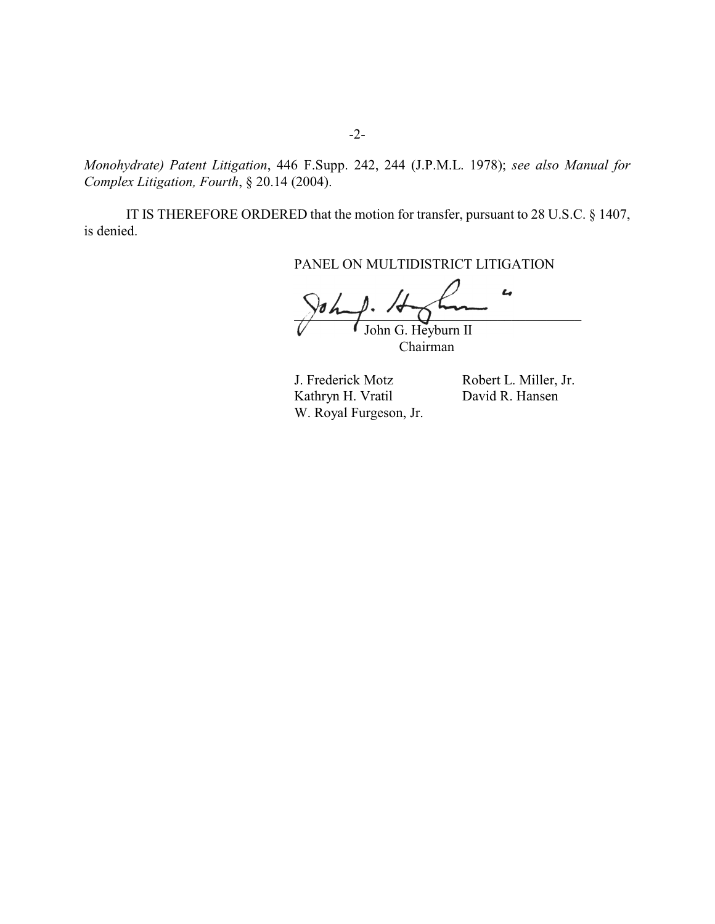*Monohydrate) Patent Litigation*, 446 F.Supp. 242, 244 (J.P.M.L. 1978); *see also Manual for Complex Litigation, Fourth*, § 20.14 (2004).

IT IS THEREFORE ORDERED that the motion for transfer, pursuant to 28 U.S.C. § 1407, is denied.

PANEL ON MULTIDISTRICT LITIGATION

L  $\gamma$ un  $\gamma$ .  $\gamma$ John G. Heyburn II

Chairman

J. Frederick Motz Robert L. Miller, Jr. Kathryn H. Vratil David R. Hansen W. Royal Furgeson, Jr.